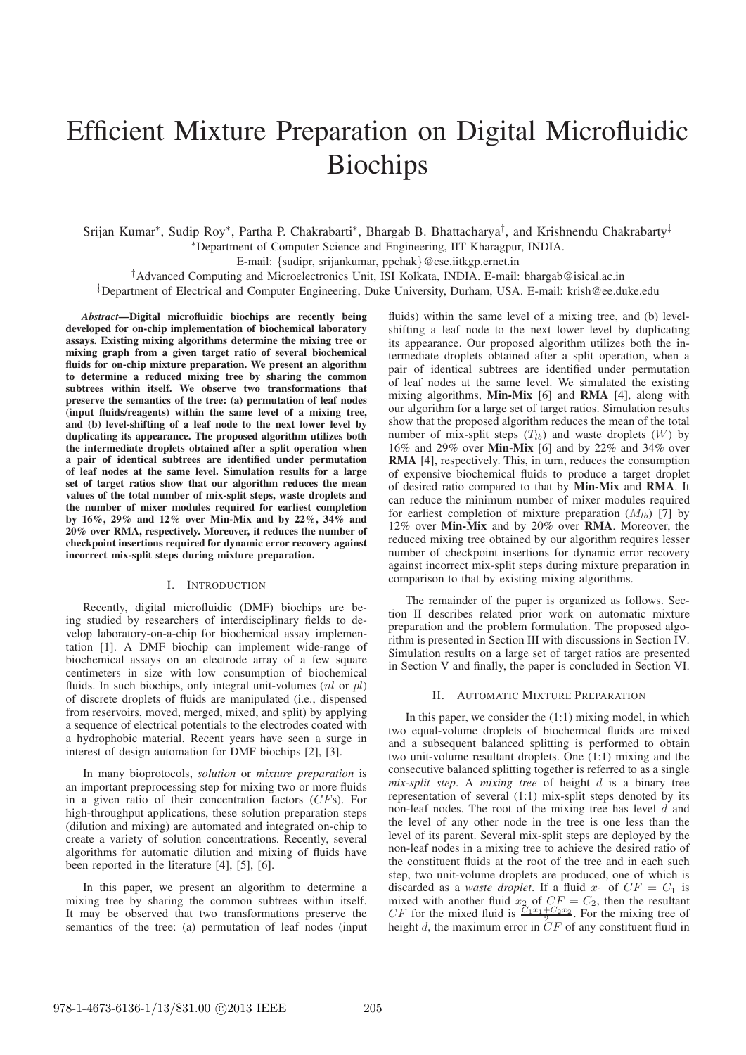# Efficient Mixture Preparation on Digital Microfluidic Biochips

Srijan Kumar\*, Sudip Roy\*, Partha P. Chakrabarti\*, Bhargab B. Bhattacharya<sup>†</sup>, and Krishnendu Chakrabarty<sup>‡</sup> <sup>∗</sup>Department of Computer Science and Engineering, IIT Kharagpur, INDIA.

E-mail: {sudipr, srijankumar, ppchak}@cse.iitkgp.ernet.in

†Advanced Computing and Microelectronics Unit, ISI Kolkata, INDIA. E-mail: bhargab@isical.ac.in ‡Department of Electrical and Computer Engineering, Duke University, Durham, USA. E-mail: krish@ee.duke.edu

*Abstract***—Digital microfluidic biochips are recently being developed for on-chip implementation of biochemical laboratory assays. Existing mixing algorithms determine the mixing tree or mixing graph from a given target ratio of several biochemical fluids for on-chip mixture preparation. We present an algorithm to determine a reduced mixing tree by sharing the common subtrees within itself. We observe two transformations that preserve the semantics of the tree: (a) permutation of leaf nodes (input fluids/reagents) within the same level of a mixing tree, and (b) level-shifting of a leaf node to the next lower level by duplicating its appearance. The proposed algorithm utilizes both the intermediate droplets obtained after a split operation when a pair of identical subtrees are identified under permutation of leaf nodes at the same level. Simulation results for a large set of target ratios show that our algorithm reduces the mean values of the total number of mix-split steps, waste droplets and the number of mixer modules required for earliest completion by 16%, 29% and 12% over Min-Mix and by 22%, 34% and 20% over RMA, respectively. Moreover, it reduces the number of checkpoint insertions required for dynamic error recovery against incorrect mix-split steps during mixture preparation.**

# I. INTRODUCTION

Recently, digital microfluidic (DMF) biochips are being studied by researchers of interdisciplinary fields to develop laboratory-on-a-chip for biochemical assay implementation [1]. A DMF biochip can implement wide-range of biochemical assays on an electrode array of a few square centimeters in size with low consumption of biochemical fluids. In such biochips, only integral unit-volumes  $(nl$  or  $nl)$ of discrete droplets of fluids are manipulated (i.e., dispensed from reservoirs, moved, merged, mixed, and split) by applying a sequence of electrical potentials to the electrodes coated with a hydrophobic material. Recent years have seen a surge in interest of design automation for DMF biochips [2], [3].

In many bioprotocols, *solution* or *mixture preparation* is an important preprocessing step for mixing two or more fluids in a given ratio of their concentration factors (CFs). For high-throughput applications, these solution preparation steps (dilution and mixing) are automated and integrated on-chip to create a variety of solution concentrations. Recently, several algorithms for automatic dilution and mixing of fluids have been reported in the literature [4], [5], [6].

In this paper, we present an algorithm to determine a mixing tree by sharing the common subtrees within itself. It may be observed that two transformations preserve the semantics of the tree: (a) permutation of leaf nodes (input fluids) within the same level of a mixing tree, and (b) levelshifting a leaf node to the next lower level by duplicating its appearance. Our proposed algorithm utilizes both the intermediate droplets obtained after a split operation, when a pair of identical subtrees are identified under permutation of leaf nodes at the same level. We simulated the existing mixing algorithms, **Min-Mix** [6] and **RMA** [4], along with our algorithm for a large set of target ratios. Simulation results show that the proposed algorithm reduces the mean of the total number of mix-split steps  $(T_{lb})$  and waste droplets  $(W)$  by 16% and 29% over **Min-Mix** [6] and by 22% and 34% over **RMA** [4], respectively. This, in turn, reduces the consumption of expensive biochemical fluids to produce a target droplet of desired ratio compared to that by **Min-Mix** and **RMA**. It can reduce the minimum number of mixer modules required for earliest completion of mixture preparation  $(M_{lb})$  [7] by 12% over **Min-Mix** and by 20% over **RMA**. Moreover, the reduced mixing tree obtained by our algorithm requires lesser number of checkpoint insertions for dynamic error recovery against incorrect mix-split steps during mixture preparation in comparison to that by existing mixing algorithms.

The remainder of the paper is organized as follows. Section II describes related prior work on automatic mixture preparation and the problem formulation. The proposed algorithm is presented in Section III with discussions in Section IV. Simulation results on a large set of target ratios are presented in Section V and finally, the paper is concluded in Section VI.

#### II. AUTOMATIC MIXTURE PREPARATION

In this paper, we consider the (1:1) mixing model, in which two equal-volume droplets of biochemical fluids are mixed and a subsequent balanced splitting is performed to obtain two unit-volume resultant droplets. One (1:1) mixing and the consecutive balanced splitting together is referred to as a single *mix-split step*. A *mixing tree* of height d is a binary tree representation of several (1:1) mix-split steps denoted by its non-leaf nodes. The root of the mixing tree has level  $d$  and the level of any other node in the tree is one less than the level of its parent. Several mix-split steps are deployed by the non-leaf nodes in a mixing tree to achieve the desired ratio of the constituent fluids at the root of the tree and in each such step, two unit-volume droplets are produced, one of which is discarded as a *waste droplet*. If a fluid  $x_1$  of  $CF = C_1$  is mixed with another fluid  $x_2$  of  $CF = C_2$ , then the resultant CF for the mixed fluid is  $\frac{C_1x_1+C_2x_2}{2}$ . For the mixing tree of height d, the maximum error in  $CF$  of any constituent fluid in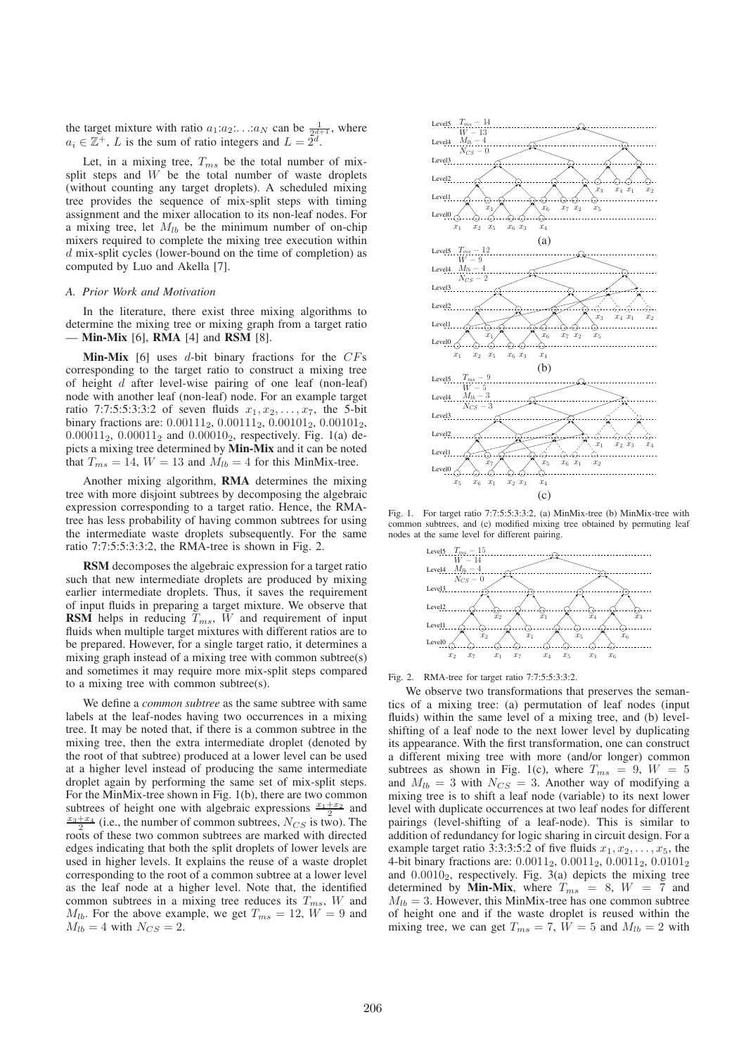the target mixture with ratio  $a_1: a_2: \ldots: a_N$  can be  $\frac{1}{2^{d+1}}$ , where  $a_i \in \mathbb{Z}^+$ , L is the sum of ratio integers and  $L = \tilde{2}^d$ .

Let, in a mixing tree,  $T_{ms}$  be the total number of mixsplit steps and  $W$  be the total number of waste droplets (without counting any target droplets). A scheduled mixing tree provides the sequence of mix-split steps with timing assignment and the mixer allocation to its non-leaf nodes. For a mixing tree, let  $M_{lb}$  be the minimum number of on-chip mixers required to complete the mixing tree execution within d mix-split cycles (lower-bound on the time of completion) as computed by Luo and Akella [7].

#### *A. Prior Work and Motivation*

In the literature, there exist three mixing algorithms to determine the mixing tree or mixing graph from a target ratio — **Min-Mix** [6], **RMA** [4] and **RSM** [8].

**Min-Mix** [6] uses  $d$ -bit binary fractions for the  $CFs$ corresponding to the target ratio to construct a mixing tree of height d after level-wise pairing of one leaf (non-leaf) node with another leaf (non-leaf) node. For an example target ratio 7:7:5:5:3:3:2 of seven fluids  $x_1, x_2,...,x_7$ , the 5-bit binary fractions are: 0.00111<sub>2</sub>, 0.00111<sub>2</sub>, 0.00101<sub>2</sub>, 0.00101<sub>2</sub>,  $0.00011_2$ ,  $0.00011_2$  and  $0.00010_2$ , respectively. Fig. 1(a) depicts a mixing tree determined by **Min-Mix** and it can be noted that  $T_{ms} = 14$ ,  $W = 13$  and  $M_{lb} = 4$  for this MinMix-tree.

Another mixing algorithm, **RMA** determines the mixing tree with more disjoint subtrees by decomposing the algebraic expression corresponding to a target ratio. Hence, the RMAtree has less probability of having common subtrees for using the intermediate waste droplets subsequently. For the same ratio 7:7:5:5:3:3:2, the RMA-tree is shown in Fig. 2.

**RSM** decomposes the algebraic expression for a target ratio such that new intermediate droplets are produced by mixing earlier intermediate droplets. Thus, it saves the requirement of input fluids in preparing a target mixture. We observe that **RSM** helps in reducing  $T_{ms}$ ,  $\bar{W}$  and requirement of input fluids when multiple target mixtures with different ratios are to be prepared. However, for a single target ratio, it determines a mixing graph instead of a mixing tree with common subtree(s) and sometimes it may require more mix-split steps compared to a mixing tree with common subtree(s).

We define a *common subtree* as the same subtree with same labels at the leaf-nodes having two occurrences in a mixing tree. It may be noted that, if there is a common subtree in the mixing tree, then the extra intermediate droplet (denoted by the root of that subtree) produced at a lower level can be used at a higher level instead of producing the same intermediate droplet again by performing the same set of mix-split steps. For the MinMix-tree shown in Fig. 1(b), there are two common subtrees of height one with algebraic expressions  $\frac{x_1+x_2}{2}$  and  $\frac{x_3+x_4}{2}$  (i.e., the number of common subtrees,  $N_{CS}$  is two). The roots of these two common subtrees are marked with directed edges indicating that both the split droplets of lower levels are used in higher levels. It explains the reuse of a waste droplet corresponding to the root of a common subtree at a lower level as the leaf node at a higher level. Note that, the identified common subtrees in a mixing tree reduces its  $T_{ms}$ ,  $W$  and  $M_{lb}$ . For the above example, we get  $T_{ms} = 12$ ,  $W = 9$  and  $M_{lb} = 4$  with  $N_{CS} = 2$ .



Fig. 1. For target ratio 7:7:5:5:3:3:2, (a) MinMix-tree (b) MinMix-tree with common subtrees, and (c) modified mixing tree obtained by permuting leaf nodes at the same level for different pairing.



Fig. 2. RMA-tree for target ratio 7:7:5:5:3:3:2.

We observe two transformations that preserves the semantics of a mixing tree: (a) permutation of leaf nodes (input fluids) within the same level of a mixing tree, and (b) levelshifting of a leaf node to the next lower level by duplicating its appearance. With the first transformation, one can construct a different mixing tree with more (and/or longer) common subtrees as shown in Fig. 1(c), where  $T_{ms} = 9$ ,  $W = 5$ and  $M_{lb} = 3$  with  $N_{CS} = 3$ . Another way of modifying a mixing tree is to shift a leaf node (variable) to its next lower level with duplicate occurrences at two leaf nodes for different pairings (level-shifting of a leaf-node). This is similar to addition of redundancy for logic sharing in circuit design. For a example target ratio 3:3:3:5:2 of five fluids  $x_1, x_2, \ldots, x_5$ , the 4-bit binary fractions are:  $0.0011_2$ ,  $0.0011_2$ ,  $0.0011_2$ ,  $0.0101_2$ and  $0.0010<sub>2</sub>$ , respectively. Fig. 3(a) depicts the mixing tree determined by **Min-Mix**, where  $T_{ms} = 8$ ,  $W = 7$  and  $M_{lb} = 3$ . However, this MinMix-tree has one common subtree of height one and if the waste droplet is reused within the mixing tree, we can get  $T_{ms} = 7$ ,  $\overline{W} = 5$  and  $M_{lb} = 2$  with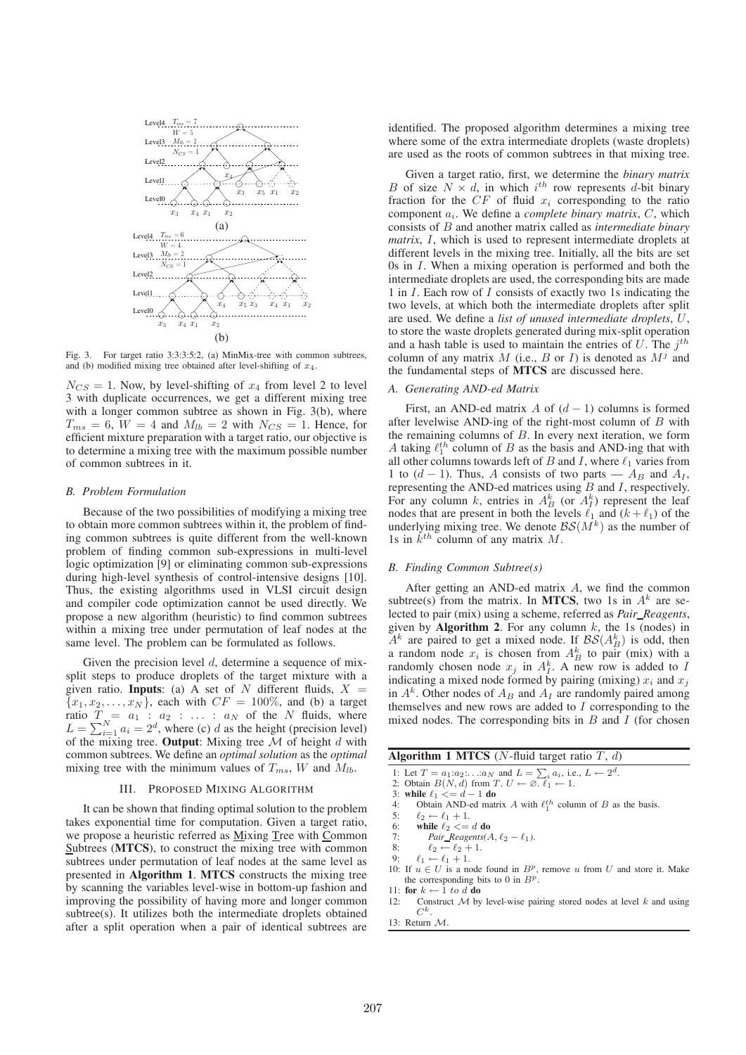

Fig. 3. For target ratio 3:3:3:5:2, (a) MinMix-tree with common subtrees, and (b) modified mixing tree obtained after level-shifting of  $x_4$ .

 $N_{CS} = 1$ . Now, by level-shifting of  $x_4$  from level 2 to level 3 with duplicate occurrences, we get a different mixing tree with a longer common subtree as shown in Fig. 3(b), where  $T_{ms} = 6$ ,  $W = 4$  and  $M_{lb} = 2$  with  $N_{CS} = 1$ . Hence, for efficient mixture preparation with a target ratio, our objective is to determine a mixing tree with the maximum possible number of common subtrees in it.

#### *B. Problem Formulation*

Because of the two possibilities of modifying a mixing tree to obtain more common subtrees within it, the problem of finding common subtrees is quite different from the well-known problem of finding common sub-expressions in multi-level logic optimization [9] or eliminating common sub-expressions during high-level synthesis of control-intensive designs [10]. Thus, the existing algorithms used in VLSI circuit design and compiler code optimization cannot be used directly. We propose a new algorithm (heuristic) to find common subtrees within a mixing tree under permutation of leaf nodes at the same level. The problem can be formulated as follows.

Given the precision level  $d$ , determine a sequence of mixsplit steps to produce droplets of the target mixture with a given ratio. **Inputs**: (a) A set of N different fluids,  $X =$  ${x_1, x_2, \ldots, x_N}$ , each with  $CF = 100\%$ , and (b) a target ratio  $T_{i} = a_1 : a_2 : \ldots : a_N$  of the N fluids, where  $L = \sum_{i=1}^{N} a_i = 2^d$ , where (c) d as the height (precision level) of the mixing tree. **Output**: Mixing tree  $M$  of height d with common subtrees. We define an *optimal solution* as the *optimal* mixing tree with the minimum values of  $T_{ms}$ , W and  $M_{lb}$ .

# III. PROPOSED MIXING ALGORITHM

It can be shown that finding optimal solution to the problem takes exponential time for computation. Given a target ratio, we propose a heuristic referred as Mixing Tree with Common Subtrees (**MTCS**), to construct the mixing tree with common subtrees under permutation of leaf nodes at the same level as presented in **Algorithm 1**. **MTCS** constructs the mixing tree by scanning the variables level-wise in bottom-up fashion and improving the possibility of having more and longer common subtree(s). It utilizes both the intermediate droplets obtained after a split operation when a pair of identical subtrees are

identified. The proposed algorithm determines a mixing tree where some of the extra intermediate droplets (waste droplets) are used as the roots of common subtrees in that mixing tree.

Given a target ratio, first, we determine the *binary matrix* B of size  $N \times d$ , in which  $i^{th}$  row represents d-bit binary fraction for the  $CF$  of fluid  $x_i$  corresponding to the ratio component  $a_i$ . We define a *complete binary matrix*,  $C$ , which consists of B and another matrix called as *intermediate binary matrix*, I, which is used to represent intermediate droplets at different levels in the mixing tree. Initially, all the bits are set 0s in I. When a mixing operation is performed and both the intermediate droplets are used, the corresponding bits are made 1 in I. Each row of I consists of exactly two 1s indicating the two levels, at which both the intermediate droplets after split are used. We define a *list of unused intermediate droplets*, U, to store the waste droplets generated during mix-split operation and a hash table is used to maintain the entries of  $U$ . The  $j<sup>th</sup>$ column of any matrix  $M$  (i.e.,  $B$  or  $I$ ) is denoted as  $M^{j}$  and the fundamental steps of **MTCS** are discussed here.

## *A. Generating AND-ed Matrix*

First, an AND-ed matrix A of  $(d - 1)$  columns is formed after levelwise AND-ing of the right-most column of B with the remaining columns of  $B$ . In every next iteration, we form A taking  $\ell_1^{th}$  column of B as the basis and AND-ing that with all other columns towards left of B and I, where  $\ell_1$  varies from 1 to  $(d-1)$ . Thus, A consists of two parts —  $A_B$  and  $A_I$ , representing the AND-ed matrices using B and I, respectively. For any column k, entries in  $A_B^k$  (or  $A_I^k$ ) represent the leaf nodes that are present in both the levels  $\ell_1$  and  $(k + \ell_1)$  of the underlying mixing tree. We denote  $\mathcal{BS}(M^k)$  as the number of 1s in  $k^{th}$  column of any matrix M.

# *B. Finding Common Subtree(s)*

After getting an AND-ed matrix A, we find the common subtree(s) from the matrix. In MTCS, two 1s in  $A<sup>k</sup>$  are selected to pair (mix) using a scheme, referred as *Pair Reagents*, given by **Algorithm 2**. For any column k, the 1s (nodes) in  $A^k$  are paired to get a mixed node. If  $BS(A_B^k)$  is odd, then a random node  $x_i$  is chosen from  $A_B^k$  to pair (mix) with a randomly chosen node  $x_j$  in  $A_I^k$ . A new row is added to I indicating a mixed node formed by pairing (mixing)  $x_i$  and  $x_j$ in  $A^k$ . Other nodes of  $A_B$  and  $A_I$  are randomly paired among themselves and new rows are added to  $I$  corresponding to the mixed nodes. The corresponding bits in  $B$  and  $I$  (for chosen

- **Algorithm 1 MTCS** (*N*-fluid target ratio  $T$ ,  $d$ )
- 1: Let  $T = a_1 : a_2 : ... : a_N$  and  $L = \sum_i a_i$ , i.e.,  $L \leftarrow 2^d$ . 2: Obtain  $B(N, d)$  from  $T$ .  $U \leftarrow \emptyset$ .  $\ell_1 \leftarrow 1$ .
- 
- 3: **while**  $\ell_1 \leq d 1$  **do**<br>4: Obtain AND-ed mature 4: Obtain AND-ed matrix A with  $\ell_1^{th}$  column of B as the basis.
- 5:  $\ell_2 \leftarrow \ell_1 + 1.$ <br>6: while  $\ell_2 \leftarrow \ell_1$
- 6: **while**  $\ell_2 \leq d$  **do**<br>7: *Pair Regients*(*A*
- 7: *Pair\_Reagents(A,*  $\ell_2 \ell_1$ *)*.<br>8:  $\ell_2 \leftarrow \ell_2 + 1$ .
- 8:  $\ell_2 \leftarrow \ell_2 + 1.$ <br>9:  $\ell_1 \leftarrow \ell_1 + 1$
- $\ell_1 \leftarrow \ell_1 + 1.$
- 10: If  $u \in U$  is a node found in  $B^p$ , remove u from U and store it. Make the corresponding bits to 0 in  $B<sup>p</sup>$ .
- 11: **for**  $k \leftarrow 1$  to  $d$  **do**<br>12: Construct M by
- Construct  $M$  by level-wise pairing stored nodes at level  $k$  and using  $C^k$ .
- 13: Return M.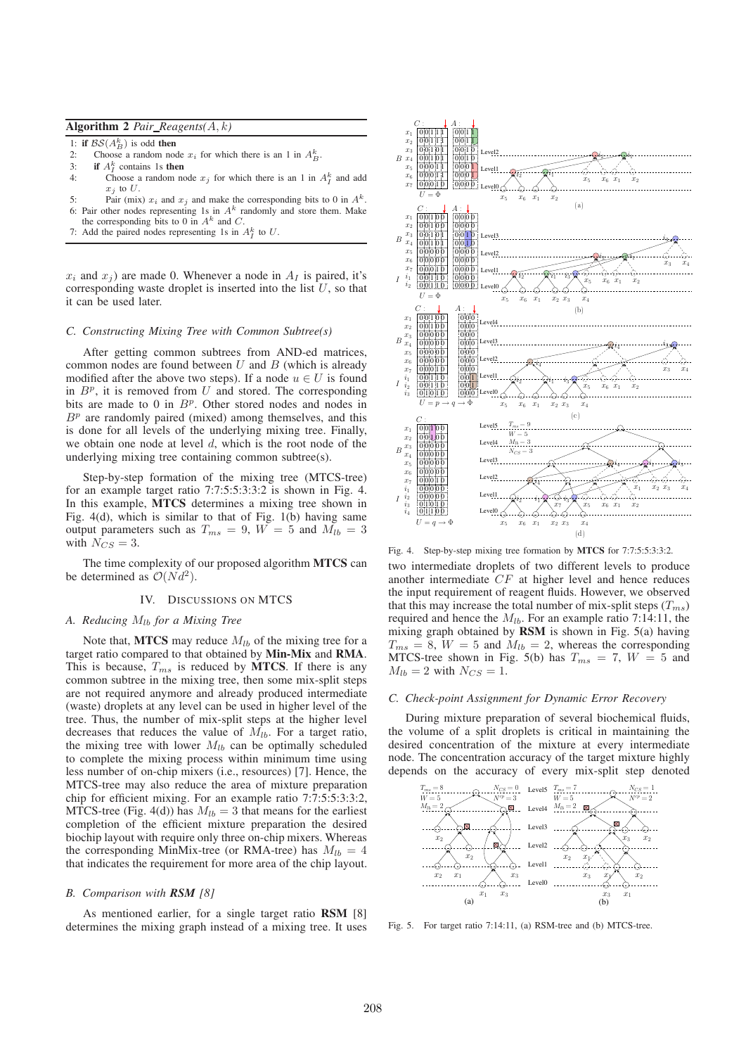# **Algorithm 2** *Pair Reagents(*A, k*)*

- 1: **if**  $BS(A_B^k)$  is odd **then**
- 2: Choose a random node  $x_i$  for which there is an 1 in  $A_B^k$ .
- 3: **if**  $A_I^k$  contains 1s **then**
- 4: Choose a random node  $x_j$  for which there is an 1 in  $A_I^k$  and add  $x_i$  to  $U$ .
- 5: Pair (mix)  $x_i$  and  $x_j$  and make the corresponding bits to 0 in  $A^k$ . 6: Pair other nodes representing 1s in  $A<sup>k</sup>$  randomly and store them. Make
- the corresponding bits to 0 in  $A^k$  and C.
- 7: Add the paired nodes representing 1s in  $A_I^k$  to U.

 $x_i$  and  $x_j$ ) are made 0. Whenever a node in  $A_I$  is paired, it's corresponding waste droplet is inserted into the list  $U$ , so that it can be used later.

#### *C. Constructing Mixing Tree with Common Subtree(s)*

After getting common subtrees from AND-ed matrices, common nodes are found between  $U$  and  $B$  (which is already modified after the above two steps). If a node  $u \in U$  is found in  $B^p$ , it is removed from U and stored. The corresponding bits are made to 0 in  $B<sup>p</sup>$ . Other stored nodes and nodes in  $B<sup>p</sup>$  are randomly paired (mixed) among themselves, and this is done for all levels of the underlying mixing tree. Finally, we obtain one node at level  $d$ , which is the root node of the underlying mixing tree containing common subtree(s).

Step-by-step formation of the mixing tree (MTCS-tree) for an example target ratio 7:7:5:5:3:3:2 is shown in Fig. 4. In this example, **MTCS** determines a mixing tree shown in Fig. 4(d), which is similar to that of Fig. 1(b) having same output parameters such as  $T_{ms} = 9$ ,  $W = 5$  and  $M_{lb} = 3$ with  $N_{CS} = 3$ .

The time complexity of our proposed algorithm **MTCS** can be determined as  $\mathcal{O}(N d^2)$ .

## IV. DISCUSSIONS ON MTCS

# *A. Reducing* Mlb *for a Mixing Tree*

Note that, **MTCS** may reduce  $M_{lb}$  of the mixing tree for a target ratio compared to that obtained by **Min-Mix** and **RMA**. This is because,  $T_{ms}$  is reduced by **MTCS**. If there is any common subtree in the mixing tree, then some mix-split steps are not required anymore and already produced intermediate (waste) droplets at any level can be used in higher level of the tree. Thus, the number of mix-split steps at the higher level decreases that reduces the value of  $M_{lb}$ . For a target ratio, the mixing tree with lower  $M_{lb}$  can be optimally scheduled to complete the mixing process within minimum time using less number of on-chip mixers (i.e., resources) [7]. Hence, the MTCS-tree may also reduce the area of mixture preparation chip for efficient mixing. For an example ratio 7:7:5:5:3:3:2, MTCS-tree (Fig. 4(d)) has  $M_{lb} = 3$  that means for the earliest completion of the efficient mixture preparation the desired biochip layout with require only three on-chip mixers. Whereas the corresponding MinMix-tree (or RMA-tree) has  $M_{lb} = 4$ that indicates the requirement for more area of the chip layout.

#### *B. Comparison with RSM [8]*

As mentioned earlier, for a single target ratio **RSM** [8] determines the mixing graph instead of a mixing tree. It uses



Fig. 4. Step-by-step mixing tree formation by **MTCS** for 7:7:5:5:3:3:2. two intermediate droplets of two different levels to produce another intermediate CF at higher level and hence reduces the input requirement of reagent fluids. However, we observed that this may increase the total number of mix-split steps  $(T_{ms})$ required and hence the  $M_{1b}$ . For an example ratio 7:14:11, the mixing graph obtained by **RSM** is shown in Fig. 5(a) having  $T_{ms} = 8$ ,  $W = 5$  and  $M_{lb} = 2$ , whereas the corresponding MTCS-tree shown in Fig. 5(b) has  $T_{ms} = 7$ ,  $W = 5$  and  $M_{lb} = 2$  with  $N_{CS} = 1$ .

#### *C. Check-point Assignment for Dynamic Error Recovery*

During mixture preparation of several biochemical fluids, the volume of a split droplets is critical in maintaining the desired concentration of the mixture at every intermediate node. The concentration accuracy of the target mixture highly depends on the accuracy of every mix-split step denoted



Fig. 5. For target ratio 7:14:11, (a) RSM-tree and (b) MTCS-tree.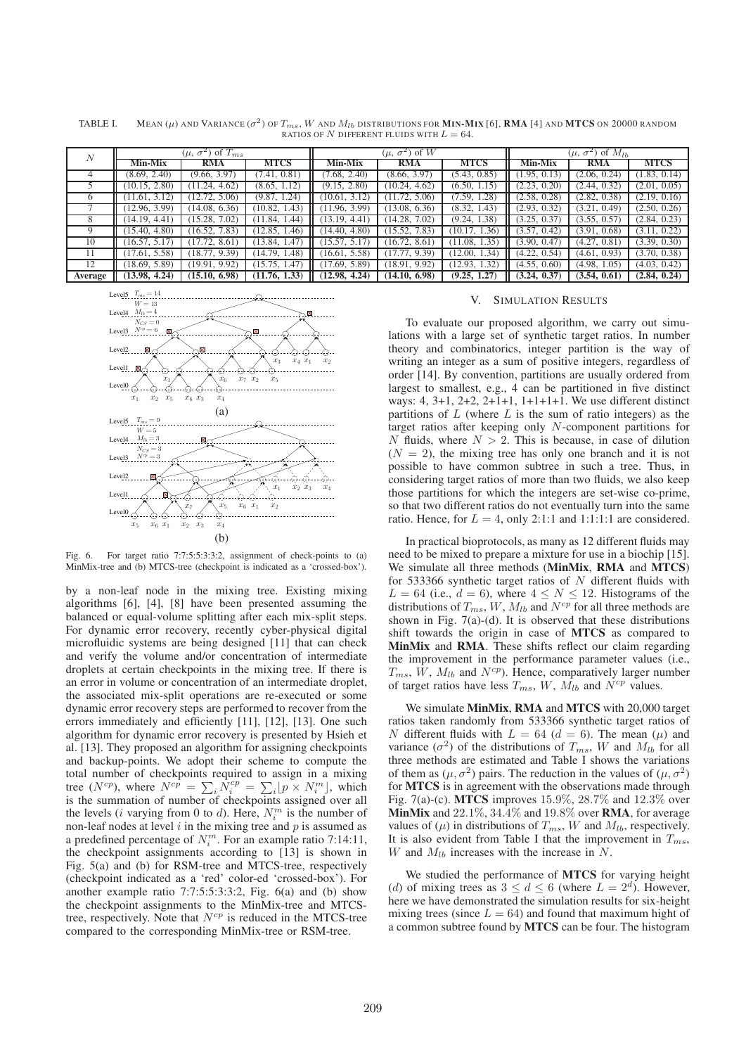TABLE I. MEAN ( $\mu$ ) and Variance ( $\sigma^2$ ) of  $T_{ms}$ , W and  $M_{lb}$  distributions for **Min-Mix** [6], **RMA** [4] and **MTCS** on 20000 random RATIOS OF N DIFFERENT FLUIDS WITH  $L = 64$ .

| N       | $(\mu, \sigma^2)$ of $T_{ms}$ |               |               | $(\mu, \sigma^2)$ of W |               |               | $(\mu, \sigma^2)$ of $M_{lb}$ |              |              |
|---------|-------------------------------|---------------|---------------|------------------------|---------------|---------------|-------------------------------|--------------|--------------|
|         |                               |               |               |                        |               |               |                               |              |              |
|         | 4                             | (8.69, 2.40)  | (9.66, 3.97)  | (7.41, 0.81)           | (7.68, 2.40)  | (8.66, 3.97)  | (5.43, 0.85)                  | (1.95, 0.13) | (2.06, 0.24) |
|         | (10.15, 2.80)                 | (11.24, 4.62) | (8.65, 1.12)  | (9.15, 2.80)           | (10.24, 4.62) | (6.50, 1.15)  | (2.23, 0.20)                  | (2.44, 0.32) | (2.01, 0.05) |
|         | (11.61, 3.12)                 | 12.72, 5.06   | (9.87, 1.24)  | (10.61, 3.12)          | (11.72, 5.06) | (7.59, 1.28)  | (2.58, 0.28)                  | (2.82, 0.38) | (2.19, 0.16) |
|         | (12.96, 3.99)                 | (14.08, 6.36) | (10.82, 1.43) | (11.96, 3.99)          | (13.08, 6.36) | (8.32, 1.43)  | (2.93, 0.32)                  | (3.21, 0.49) | (2.50, 0.26) |
| 8       | (14.19, 4.41)                 | (15.28, 7.02) | (11.84, 1.44) | (13.19, 4.41)          | (14.28, 7.02) | (9.24, 1.38)  | (3.25, 0.37)                  | (3.55, 0.57) | (2.84, 0.23) |
| 9       | (15.40, 4.80)                 | (16.52, 7.83) | (12.85, 1.46) | (14.40, 4.80)          | (15.52, 7.83) | (10.17, 1.36) | (3.57, 0.42)                  | (3.91, 0.68) | (3.11, 0.22) |
| 10      | (16.57, 5.17)                 | 17.72, 8.61   | (13.84, 1.47) | 15.57, 5.17            | (16.72, 8.61) | (11.08, 1.35) | (3.90, 0.47)                  | (4.27, 0.81) | (3.39, 0.30) |
| -11     | (17.61, 5.58)                 | (18.77, 9.39) | (14.79, 1.48) | (16.61, 5.58)          | (17.77, 9.39) | (12.00, 1.34) | (4.22, 0.54)                  | (4.61, 0.93) | (3.70, 0.38) |
| 12      | (18.69, 5.89)                 | (19.91, 9.92) | 15.75, 1.47   | (17.69, 5.89)          | (18.91, 9.92) | (12.93, 1.32) | (4.55, 0.60)                  | (4.98, 1.05) | (4.03, 0.42) |
| Average | (13.98, 4.24)                 | (15.10, 6.98) | (11.76, 1.33) | (12.98, 4.24)          | (14.10, 6.98) | (9.25, 1.27)  | (3.24, 0.37)                  | (3.54, 0.61) | (2.84, 0.24) |



Fig. 6. For target ratio 7:7:5:5:3:3:2, assignment of check-points to (a) MinMix-tree and (b) MTCS-tree (checkpoint is indicated as a 'crossed-box').

by a non-leaf node in the mixing tree. Existing mixing algorithms [6], [4], [8] have been presented assuming the balanced or equal-volume splitting after each mix-split steps. For dynamic error recovery, recently cyber-physical digital microfluidic systems are being designed [11] that can check and verify the volume and/or concentration of intermediate droplets at certain checkpoints in the mixing tree. If there is an error in volume or concentration of an intermediate droplet, the associated mix-split operations are re-executed or some dynamic error recovery steps are performed to recover from the errors immediately and efficiently [11], [12], [13]. One such algorithm for dynamic error recovery is presented by Hsieh et al. [13]. They proposed an algorithm for assigning checkpoints and backup-points. We adopt their scheme to compute the total number of checkpoints required to assign in a mixing tree (N<sup>cp</sup>), where  $N^{cp} = \sum_i \dot{N}_i^{cp} = \sum_i [p \times N_i^m]$ , which is the summation of number of checkpoints assigned over all the levels (*i* varying from 0 to *d*). Here,  $N_i^m$  is the number of non-leaf nodes at level  $i$  in the mixing tree and  $p$  is assumed as a predefined percentage of  $N_i^m$ . For an example ratio 7:14:11, the checkpoint assignments according to [13] is shown in Fig. 5(a) and (b) for RSM-tree and MTCS-tree, respectively (checkpoint indicated as a 'red' color-ed 'crossed-box'). For another example ratio 7:7:5:5:3:3:2, Fig. 6(a) and (b) show the checkpoint assignments to the MinMix-tree and MTCStree, respectively. Note that  $N^{cp}$  is reduced in the MTCS-tree compared to the corresponding MinMix-tree or RSM-tree.

# V. SIMULATION RESULTS

To evaluate our proposed algorithm, we carry out simulations with a large set of synthetic target ratios. In number theory and combinatorics, integer partition is the way of writing an integer as a sum of positive integers, regardless of order [14]. By convention, partitions are usually ordered from largest to smallest, e.g., 4 can be partitioned in five distinct ways: 4, 3+1, 2+2, 2+1+1, 1+1+1+1. We use different distinct partitions of  $L$  (where  $L$  is the sum of ratio integers) as the target ratios after keeping only N-component partitions for N fluids, where  $N > 2$ . This is because, in case of dilution  $(N = 2)$ , the mixing tree has only one branch and it is not possible to have common subtree in such a tree. Thus, in considering target ratios of more than two fluids, we also keep those partitions for which the integers are set-wise co-prime, so that two different ratios do not eventually turn into the same ratio. Hence, for  $L = 4$ , only 2:1:1 and 1:1:1:1 are considered.

In practical bioprotocols, as many as 12 different fluids may need to be mixed to prepare a mixture for use in a biochip [15]. We simulate all three methods (**MinMix**, **RMA** and **MTCS**) for 533366 synthetic target ratios of  $N$  different fluids with  $L = 64$  (i.e.,  $d = 6$ ), where  $4 \le N \le 12$ . Histograms of the distributions of  $T_{ms}$ ,  $W$ ,  $M_{lb}$  and  $N^{cp}$  for all three methods are shown in Fig.  $7(a)-(d)$ . It is observed that these distributions shift towards the origin in case of **MTCS** as compared to **MinMix** and **RMA**. These shifts reflect our claim regarding the improvement in the performance parameter values (i.e.,  $T_{ms}$ ,  $\hat{W}$ ,  $M_{lb}$  and  $N^{cp}$ ). Hence, comparatively larger number of target ratios have less  $T_{ms}$ ,  $W$ ,  $\overline{M}_{lb}$  and  $\overline{N}^{cp}$  values.

We simulate **MinMix**, **RMA** and **MTCS** with 20,000 target ratios taken randomly from 533366 synthetic target ratios of N different fluids with  $L = 64$  ( $d = 6$ ). The mean ( $\mu$ ) and variance  $(\sigma^2)$  of the distributions of  $T_{ms}$ , W and  $M_{lb}$  for all three methods are estimated and Table I shows the variations of them as  $(\mu, \sigma^2)$  pairs. The reduction in the values of  $(\mu, \sigma^2)$ for **MTCS** is in agreement with the observations made through Fig. 7(a)-(c). **MTCS** improves 15.9%, 28.7% and 12.3% over **MinMix** and 22.1%, 34.4% and 19.8% over **RMA**, for average values of  $(\mu)$  in distributions of  $T_{ms}$ , W and  $M_{lb}$ , respectively. It is also evident from Table I that the improvement in  $T_{ms}$ , W and  $M_{lb}$  increases with the increase in N.

We studied the performance of **MTCS** for varying height (d) of mixing trees as  $3 \le d \le 6$  (where  $L = 2^d$ ). However, here we have demonstrated the simulation results for six-height mixing trees (since  $L = 64$ ) and found that maximum hight of a common subtree found by **MTCS** can be four. The histogram